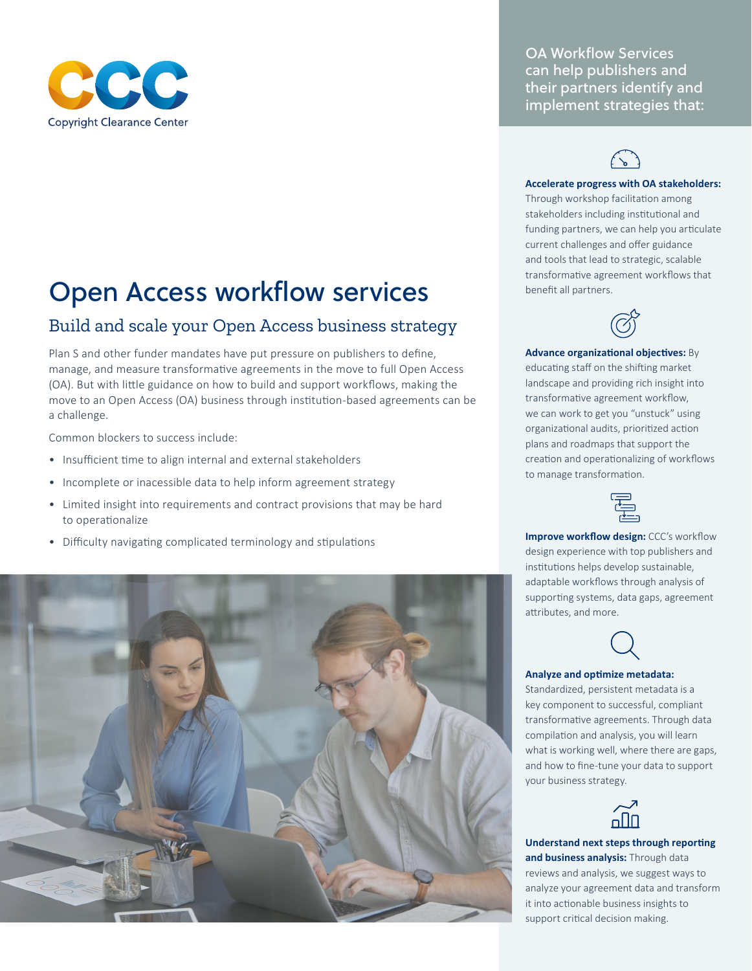

# Open Access workflow services

## Build and scale your Open Access business strategy

Plan S and other funder mandates have put pressure on publishers to define, manage, and measure transformative agreements in the move to full Open Access (OA). But with little guidance on how to build and support workflows, making the move to an Open Access (OA) business through institution-based agreements can be a challenge.

Common blockers to success include:

- Insufficient time to align internal and external stakeholders
- Incomplete or inacessible data to help inform agreement strategy
- Limited insight into requirements and contract provisions that may be hard to operationalize
- Difficulty navigating complicated terminology and stipulations



OA Workflow Services can help publishers and their partners identify and implement strategies that:



#### **Accelerate progress with OA stakeholders:**

Through workshop facilitation among stakeholders including institutional and funding partners, we can help you articulate current challenges and offer guidance and tools that lead to strategic, scalable transformative agreement workflows that benefit all partners.



**Advance organizational objectives:** By educating staff on the shifting market landscape and providing rich insight into transformative agreement workflow, we can work to get you "unstuck" using organizational audits, prioritized action plans and roadmaps that support the creation and operationalizing of workflows to manage transformation.



**Improve workflow design:** CCC's workflow design experience with top publishers and institutions helps develop sustainable, adaptable workflows through analysis of supporting systems, data gaps, agreement attributes, and more.



#### **Analyze and optimize metadata:**

Standardized, persistent metadata is a key component to successful, compliant transformative agreements. Through data compilation and analysis, you will learn what is working well, where there are gaps, and how to fine-tune your data to support your business strategy.



**Understand next steps through reporting and business analysis:** Through data reviews and analysis, we suggest ways to analyze your agreement data and transform it into actionable business insights to support critical decision making.